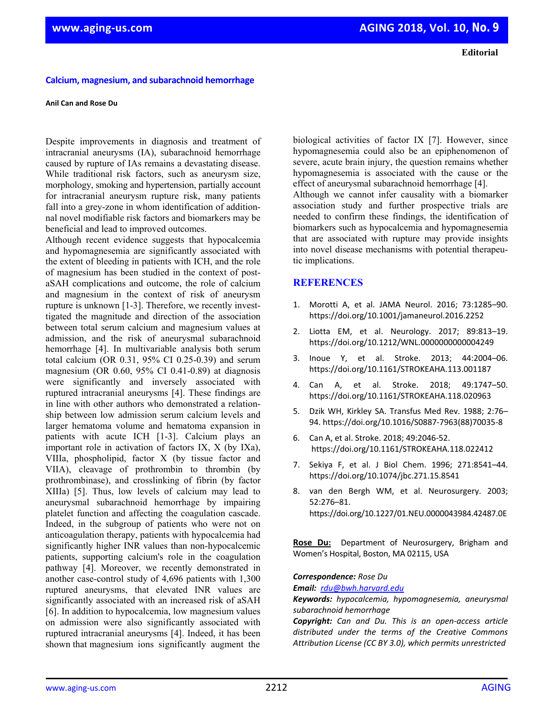## **Calcium, magnesium, and subarachnoid hemorrhage**

## **Anil Can and Rose Du**

Despite improvements in diagnosis and treatment of intracranial aneurysms (IA), subarachnoid hemorrhage caused by rupture of IAs remains a devastating disease. While traditional risk factors, such as aneurysm size, morphology, smoking and hypertension, partially account for intracranial aneurysm rupture risk, many patients fall into a grey-zone in whom identification of additionnal novel modifiable risk factors and biomarkers may be beneficial and lead to improved outcomes.

Although recent evidence suggests that hypocalcemia and hypomagnesemia are significantly associated with the extent of bleeding in patients with ICH, and the role of magnesium has been studied in the context of postaSAH complications and outcome, the role of calcium and magnesium in the context of risk of aneurysm rupture is unknown [1-3]. Therefore, we recently investtigated the magnitude and direction of the association between total serum calcium and magnesium values at admission, and the risk of aneurysmal subarachnoid hemorrhage [4]. In multivariable analysis both serum total calcium (OR 0.31, 95% CI 0.25-0.39) and serum magnesium (OR 0.60, 95% CI 0.41-0.89) at diagnosis were significantly and inversely associated with ruptured intracranial aneurysms [4]. These findings are in line with other authors who demonstrated a relationship between low admission serum calcium levels and larger hematoma volume and hematoma expansion in patients with acute ICH [1-3]. Calcium plays an important role in activation of factors IX, X (by IXa), VIIIa, phospholipid, factor X (by tissue factor and VIIA), cleavage of prothrombin to thrombin (by prothrombinase), and crosslinking of fibrin (by factor XIIIa) [5]. Thus, low levels of calcium may lead to aneurysmal subarachnoid hemorrhage by impairing platelet function and affecting the coagulation cascade. Indeed, in the subgroup of patients who were not on anticoagulation therapy, patients with hypocalcemia had significantly higher INR values than non-hypocalcemic patients, supporting calcium's role in the coagulation pathway [4]. Moreover, we recently demonstrated in another case-control study of 4,696 patients with 1,300 ruptured aneurysms, that elevated INR values are significantly associated with an increased risk of aSAH [6]. In addition to hypocalcemia, low magnesium values on admission were also significantly associated with ruptured intracranial aneurysms [4]. Indeed, it has been shown that magnesium ions significantly augment the

biological activities of factor IX [7]. However, since hypomagnesemia could also be an epiphenomenon of severe, acute brain injury, the question remains whether hypomagnesemia is associated with the cause or the effect of aneurysmal subarachnoid hemorrhage [4]. Although we cannot infer causality with a biomarker association study and further prospective trials are needed to confirm these findings, the identification of biomarkers such as hypocalcemia and hypomagnesemia that are associated with rupture may provide insights into novel disease mechanisms with potential therapeutic implications.

## **REFERENCES**

- 1. Morotti A, et al. JAMA Neurol. 2016; 73:1285–90. https://doi.org/10.1001/jamaneurol.2016.2252
- 2. Liotta EM, et al. Neurology. 2017; 89:813–19. https://doi.org/10.1212/WNL.0000000000004249
- 3. Inoue Y, et al. Stroke. 2013; 44:2004–06. https://doi.org/10.1161/STROKEAHA.113.001187
- 4. Can A, et al. Stroke. 2018; 49:1747–50. https://doi.org/10.1161/STROKEAHA.118.020963
- 5. Dzik WH, Kirkley SA. Transfus Med Rev. 1988; 2:76– 94. https://doi.org/10.1016/S0887‐7963(88)70035‐8
- 6. Can A, et al. Stroke. 2018; 49:2046‐52. https://doi.org/10.1161/STROKEAHA.118.022412
- 7. Sekiya F, et al. J Biol Chem. 1996; 271:8541–44. https://doi.org/10.1074/jbc.271.15.8541
- 8. van den Bergh WM, et al. Neurosurgery. 2003; 52:276–81. https://doi.org/10.1227/01.NEU.0000043984.42487.0E

**Rose Du:**  Department of Neurosurgery, Brigham and Women's Hospital, Boston, MA 02115, USA

## *Correspondence: Rose Du*

*Email: rdu@bwh.harvard.edu*

*Keywords: hypocalcemia, hypomagnesemia, aneurysmal subarachnoid hemorrhage*

*Copyright: Can and Du. This is an open‐access article distributed under the terms of the Creative Commons Attribution License (CC BY 3.0), which permits unrestricted*